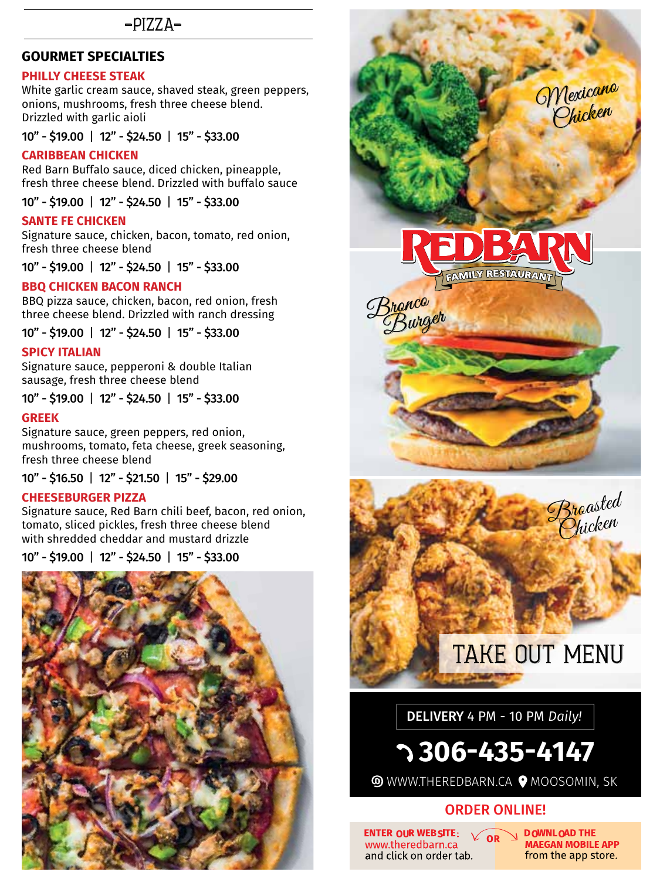## $-PIZZA-$

#### **Gourmet Specialties**

#### **Philly cheese steak**

White garlic cream sauce, shaved steak, green peppers, onions, mushrooms, fresh three cheese blend. Drizzled with garlic aioli

10" - \$19.00 | 12" - \$24.50| 15" - \$33.00

#### **Caribbean Chicken**

Red Barn Buffalo sauce, diced chicken, pineapple, fresh three cheese blend. Drizzled with buffalo sauce

10" - \$19.00| 12" - \$24.50| 15" - \$33.00

#### **Sante Fe Chicken**

Signature sauce, chicken, bacon, tomato, red onion, fresh three cheese blend

10" - \$19.00| 12" - \$24.50| 15" - \$33.00

#### **BBQ Chicken Bacon Ranch**

BBQ pizza sauce, chicken, bacon, red onion, fresh three cheese blend. Drizzled with ranch dressing

10" - \$19.00 | 12" - \$24.50| 15" - \$33.00

#### **Spicy Italian**

Signature sauce, pepperoni & double Italian sausage, fresh three cheese blend

10" - \$19.00| 12" - \$24.50| 15" - \$33.00

#### **Greek**

Signature sauce, green peppers, red onion, mushrooms, tomato, feta cheese, greek seasoning, fresh three cheese blend

10" - \$16.50| 12" - \$21.50| 15" - \$29.00

#### **CHEESEBURGER PIZZA**

Signature sauce, Red Barn chili beef, bacon, red onion, tomato, sliced pickles, fresh three cheese blend with shredded cheddar and mustard drizzle

10" - \$19.00| 12" - \$24.50| 15" - \$33.00





**ENTER OUR WEBSITE:**  $\sqrt{OR}$ www.theredbarn.ca and click on order tab.

**DOWNLOAD THE MAEGAN MOBILE APP** from the app store.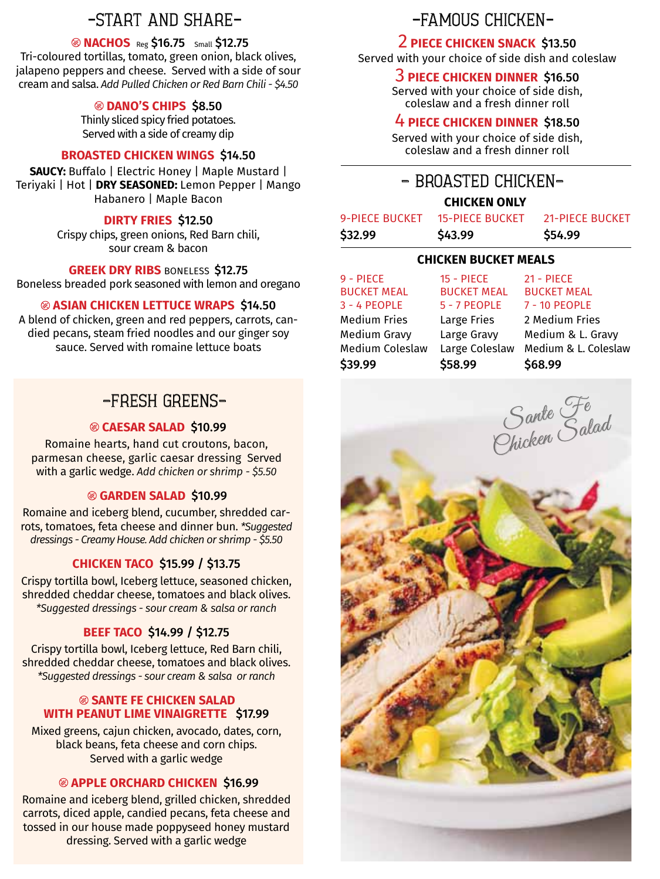## -START AND SHARE-<br>-FAMOUS CHICKEN-

#### **NACHOS** Reg \$16.75 Small \$12.75

Tri-coloured tortillas, tomato, green onion, black olives, jalapeno peppers and cheese. Served with a side of sour cream and salsa. *Add Pulled Chicken or Red Barn Chili - \$4.50*

#### **DANO'S CHIPS** \$8.50

Thinly sliced spicy fried potatoes. Served with a side of creamy dip

#### **BROASTED CHICKEN WINGS** \$14.50

**SAUCY:** Buffalo | Electric Honey | Maple Mustard | Teriyaki | Hot | **DRY SEASONED:** Lemon Pepper | Mango Habanero | Maple Bacon

#### **DIRTY FRIES** \$12.50

Crispy chips, green onions, Red Barn chili, sour cream & bacon

**GREEK DRY RIBS BONELESS \$12.75** 

Boneless breaded pork seasoned with lemon and oregano

#### **aSian ChiCken lettuCe wraPS** \$14.50

A blend of chicken, green and red peppers, carrots, candied pecans, steam fried noodles and our ginger soy sauce. Served with romaine lettuce boats

## -FRESH GREENS-

#### **CAESAR SALAD** \$10.99

Romaine hearts, hand cut croutons, bacon, parmesan cheese, garlic caesar dressing Served with a garlic wedge. *Add chicken or shrimp - \$5.50*

#### **Garden SALAD** \$10.99

Romaine and iceberg blend, cucumber, shredded carrots, tomatoes, feta cheese and dinner bun. *\*Suggested dressings - Creamy House. Add chicken or shrimp - \$5.50*

### **CHICKEN TACO** \$15.99 / \$13.75

Crispy tortilla bowl, Iceberg lettuce, seasoned chicken, shredded cheddar cheese, tomatoes and black olives. *\*Suggested dressings - sour cream & salsa or ranch*

#### **BEEF TACO** \$14.99 / \$12.75

Crispy tortilla bowl, Iceberg lettuce, Red Barn chili, shredded cheddar cheese, tomatoes and black olives. *\*Suggested dressings - sour cream & salsa or ranch*

#### *SANTE FE CHICKEN SALAD* **with Peanut Lime Vinaigrette** \$17.99

Mixed greens, cajun chicken, avocado, dates, corn, black beans, feta cheese and corn chips. Served with a garlic wedge

### **APPLE ORCHARD CHICKEN** \$16.99

Romaine and iceberg blend, grilled chicken, shredded carrots, diced apple, candied pecans, feta cheese and tossed in our house made poppyseed honey mustard dressing. Served with a garlic wedge

## 2 **PIECE CHICKEN SNACK** \$13.50

Served with your choice of side dish and coleslaw

#### 3 **PIECE CHICKEN DINNER** \$16.50

Served with your choice of side dish, coleslaw and a fresh dinner roll

#### 4 **PIECE CHICKEN DINNER** \$18.50

Served with your choice of side dish, coleslaw and a fresh dinner roll

## - BROASTED CHICKEN-

#### **CHICKEN ONLY**

| 9-PIECE BUCKET | <b>15-PIECE BUCKET</b> | <b>21-PIECE BUCKET</b> |
|----------------|------------------------|------------------------|
| \$32.99        | \$43.99                | \$54.99                |

#### **CHICKEN BUCKET MEALS**

9 - PIECE BUCKET MEAL 3 - 4 PEOPLE Medium Fries Medium Gravy Medium Coleslaw \$39.99

15 - PIECE BUCKET MEAL 5 - 7 PEOPLE Large Fries Large Gravy Large Coleslaw \$58.99

BUCKET MEAL 7 - 10 PEOPLE 2 Medium Fries Medium & L. Gravy Medium & L. Coleslaw \$68.99

Sante Fe Sance Salad

21 - PIECE

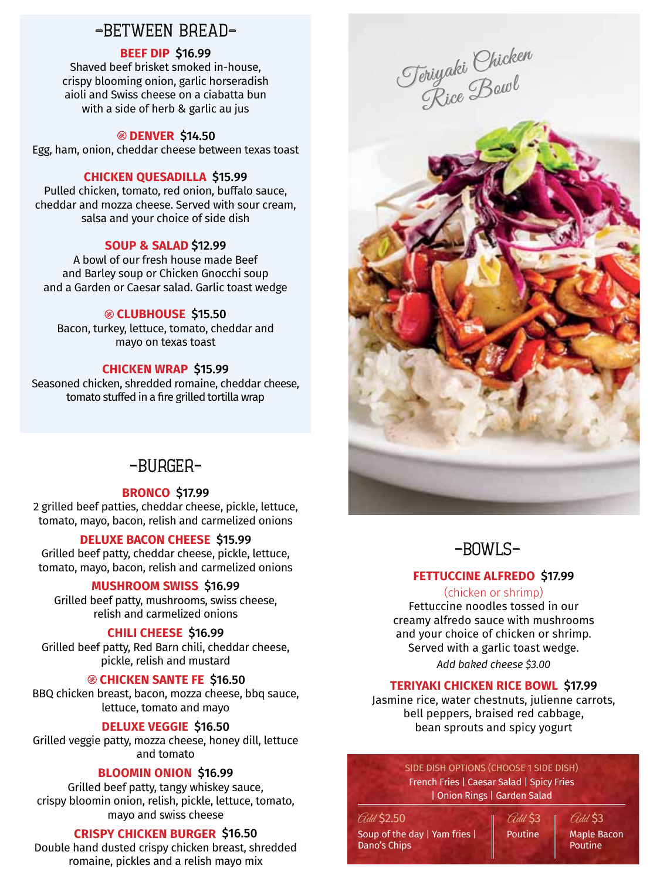## -BETWEEN BREAD-

#### **BEEF DIP** \$16.99

Shaved beef brisket smoked in-house, crispy blooming onion, garlic horseradish aioli and Swiss cheese on a ciabatta bun with a side of herb & garlic au jus

#### **DENVER** \$14.50

Egg, ham, onion, cheddar cheese between texas toast

#### **Chicken Quesadilla** \$15.99

Pulled chicken, tomato, red onion, buffalo sauce, cheddar and mozza cheese. Served with sour cream, salsa and your choice of side dish

#### **SOUP & SALAD** \$12.99

A bowl of our fresh house made Beef and Barley soup or Chicken Gnocchi soup and a Garden or Caesar salad. Garlic toast wedge

#### **CLUBHOUSE** \$15.50

Bacon, turkey, lettuce, tomato, cheddar and mayo on texas toast

#### **CHICKEN WRAP** \$15.99

Seasoned chicken, shredded romaine, cheddar cheese, tomato stuffed in a fire grilled tortilla wrap

## -BURGER-

#### **BRONCO** \$17.99

2 grilled beef patties, cheddar cheese, pickle, lettuce, tomato, mayo, bacon, relish and carmelized onions

#### **DELUXE BACON CHEESE** \$15.99

Grilled beef patty, cheddar cheese, pickle, lettuce, tomato, mayo, bacon, relish and carmelized onions

#### **MUSHROOM SWISS** \$16.99

Grilled beef patty, mushrooms, swiss cheese, relish and carmelized onions

#### **CHILI CHEESE** \$16.99

Grilled beef patty, Red Barn chili, cheddar cheese, pickle, relish and mustard

#### **CHICKEN SANTE FE** \$16.50

BBQ chicken breast, bacon, mozza cheese, bbq sauce, lettuce, tomato and mayo

#### **DELUXE VEGGIE** \$16.50

Grilled veggie patty, mozza cheese, honey dill, lettuce and tomato

#### **BLOOMIN ONION** \$16.99

Grilled beef patty, tangy whiskey sauce, crispy bloomin onion, relish, pickle, lettuce, tomato, mayo and swiss cheese

#### **CRISPY CHICKEN BURGER** \$16.50

Double hand dusted crispy chicken breast, shredded romaine, pickles and a relish mayo mix







#### **FETTUCCINE ALFREDO** \$17.99

#### (chicken or shrimp)

Fettuccine noodles tossed in our creamy alfredo sauce with mushrooms and your choice of chicken or shrimp. Served with a garlic toast wedge. *Add baked cheese \$3.00*

#### **Teriyaki Chicken Rice Bowl** \$17.99

Jasmine rice, water chestnuts, julienne carrots, bell peppers, braised red cabbage, bean sprouts and spicy yogurt

> SIDE DISH OPTIONS (CHOOSE 1 SIDE DISH) French Fries | Caesar Salad | Spicy Fries | Onion Rings | Garden Salad

Soup of the day | Yam fries | Dano's Chips Poutine **Maple Bacon** Poutine  $\theta$ dd \$2.50  $\theta$   $\theta$ dd \$3  $\theta$   $\theta$ dd \$3